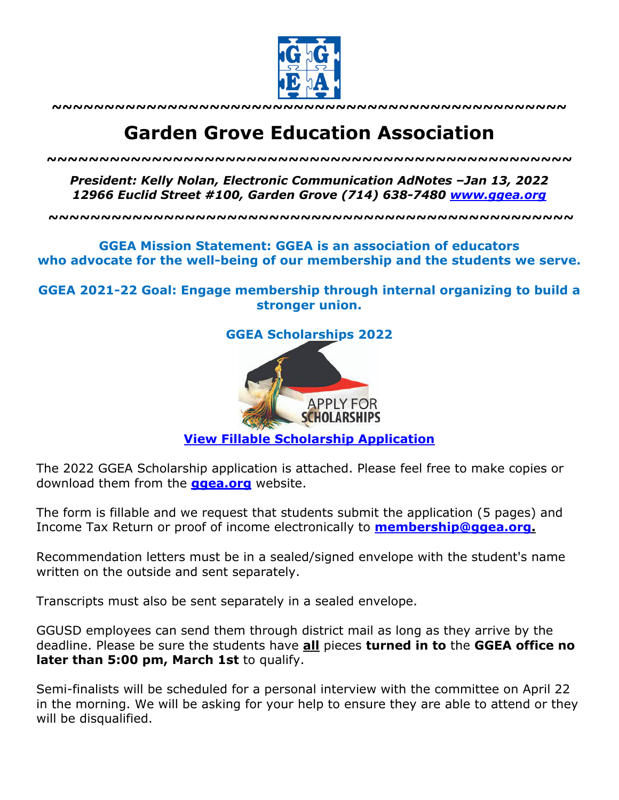

**~~~~~~~~~~~~~~~~~~~~~~~~~~~~~~~~~~~~~~~~~~~~~~~~~**

# **Garden Grove Education Association**

*~~~~~~~~~~~~~~~~~~~~~~~~~~~~~~~~~~~~~~~~~~~~~~~~~~*

*President: Kelly Nolan, Electronic Communication AdNotes –Jan 13, 2022 12966 Euclid Street #100, Garden Grove (714) 638-7480 www.ggea.org*

**~~~~~~~~~~~~~~~~~~~~~~~~~~~~~~~~~~~~~~~~~~~~~~~~~~**

## **GGEA Mission Statement: GGEA is an association of educators who advocate for the well-being of our membership and the students we serve.**

**GGEA 2021-22 Goal: Engage membership through internal organizing to build a stronger union.**



## **View Fillable Scholarship Application**

The 2022 GGEA Scholarship application is attached. Please feel free to make copies or download them from the **ggea.org** website.

The form is fillable and we request that students submit the application (5 pages) and Income Tax Return or proof of income electronically to **membership@ggea.org.**

Recommendation letters must be in a sealed/signed envelope with the student's name written on the outside and sent separately.

Transcripts must also be sent separately in a sealed envelope.

GGUSD employees can send them through district mail as long as they arrive by the deadline. Please be sure the students have **all** pieces **turned in to** the **GGEA office no later than 5:00 pm, March 1st** to qualify.

Semi-finalists will be scheduled for a personal interview with the committee on April 22 in the morning. We will be asking for your help to ensure they are able to attend or they will be disqualified.